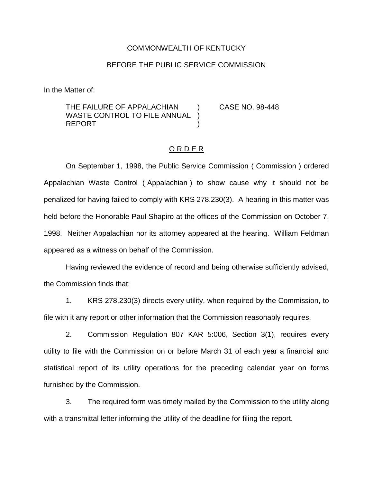## COMMONWEALTH OF KENTUCKY

## BEFORE THE PUBLIC SERVICE COMMISSION

In the Matter of:

THE FAILURE OF APPALACHIAN ) CASE NO. 98-448 WASTE CONTROL TO FILE ANNUAL **REPORT** 

## O R D E R

On September 1, 1998, the Public Service Commission ( Commission ) ordered Appalachian Waste Control ( Appalachian ) to show cause why it should not be penalized for having failed to comply with KRS 278.230(3). A hearing in this matter was held before the Honorable Paul Shapiro at the offices of the Commission on October 7, 1998. Neither Appalachian nor its attorney appeared at the hearing. William Feldman appeared as a witness on behalf of the Commission.

Having reviewed the evidence of record and being otherwise sufficiently advised, the Commission finds that:

1. KRS 278.230(3) directs every utility, when required by the Commission, to file with it any report or other information that the Commission reasonably requires.

2. Commission Regulation 807 KAR 5:006, Section 3(1), requires every utility to file with the Commission on or before March 31 of each year a financial and statistical report of its utility operations for the preceding calendar year on forms furnished by the Commission.

3. The required form was timely mailed by the Commission to the utility along with a transmittal letter informing the utility of the deadline for filing the report.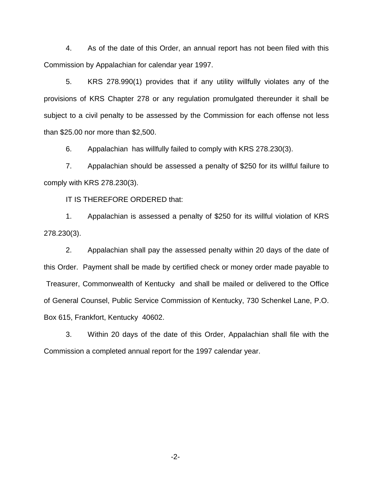4. As of the date of this Order, an annual report has not been filed with this Commission by Appalachian for calendar year 1997.

5. KRS 278.990(1) provides that if any utility willfully violates any of the provisions of KRS Chapter 278 or any regulation promulgated thereunder it shall be subject to a civil penalty to be assessed by the Commission for each offense not less than \$25.00 nor more than \$2,500.

6. Appalachian has willfully failed to comply with KRS 278.230(3).

7. Appalachian should be assessed a penalty of \$250 for its willful failure to comply with KRS 278.230(3).

IT IS THEREFORE ORDERED that:

1. Appalachian is assessed a penalty of \$250 for its willful violation of KRS 278.230(3).

2. Appalachian shall pay the assessed penalty within 20 days of the date of this Order. Payment shall be made by certified check or money order made payable to Treasurer, Commonwealth of Kentucky and shall be mailed or delivered to the Office of General Counsel, Public Service Commission of Kentucky, 730 Schenkel Lane, P.O. Box 615, Frankfort, Kentucky 40602.

3. Within 20 days of the date of this Order, Appalachian shall file with the Commission a completed annual report for the 1997 calendar year.

-2-